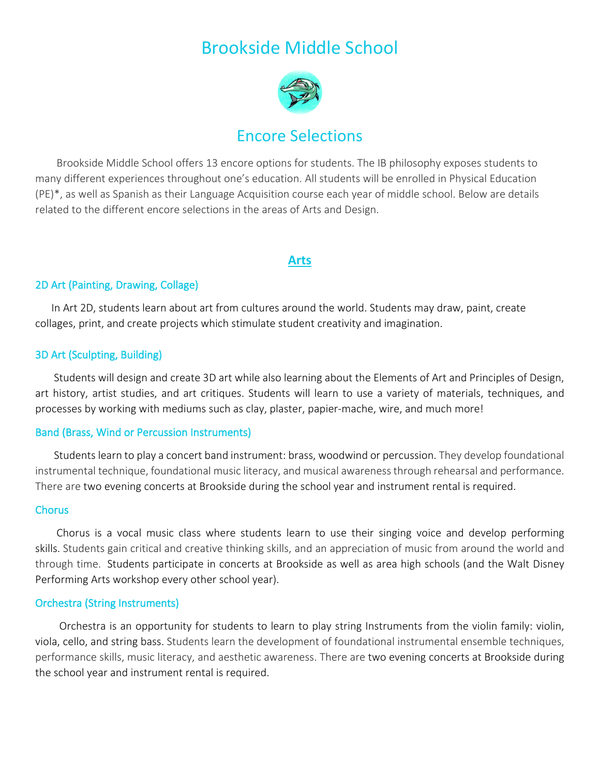# Brookside Middle School



## Encore Selections

 Brookside Middle School offers 13 encore options for students. The IB philosophy exposes students to many different experiences throughout one's education. All students will be enrolled in Physical Education (PE)\*, as well as Spanish as their Language Acquisition course each year of middle school. Below are details related to the different encore selections in the areas of Arts and Design.

#### **Arts**

#### 2D Art (Painting, Drawing, Collage)

 In Art 2D, students learn about art from cultures around the world. Students may draw, paint, create collages, print, and create projects which stimulate student creativity and imagination.

#### 3D Art (Sculpting, Building)

 Students will design and create 3D art while also learning about the Elements of Art and Principles of Design, art history, artist studies, and art critiques. Students will learn to use a variety of materials, techniques, and processes by working with mediums such as clay, plaster, papier-mache, wire, and much more!

#### Band (Brass, Wind or Percussion Instruments)

 Students learn to play a concert band instrument: brass, woodwind or percussion. They develop foundational instrumental technique, foundational music literacy, and musical awareness through rehearsal and performance. There are two evening concerts at Brookside during the school year and instrument rental is required.

#### **Chorus**

 Chorus is a vocal music class where students learn to use their singing voice and develop performing skills. Students gain critical and creative thinking skills, and an appreciation of music from around the world and through time. Students participate in concerts at Brookside as well as area high schools (and the Walt Disney Performing Arts workshop every other school year).

#### Orchestra (String Instruments)

 Orchestra is an opportunity for students to learn to play string Instruments from the violin family: violin, viola, cello, and string bass. Students learn the development of foundational instrumental ensemble techniques, performance skills, music literacy, and aesthetic awareness. There are two evening concerts at Brookside during the school year and instrument rental is required.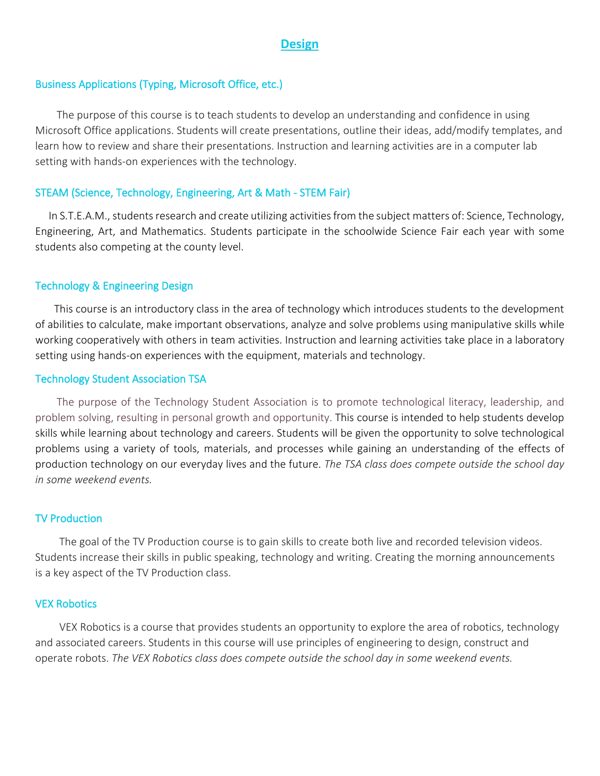#### **Design**

#### Business Applications (Typing, Microsoft Office, etc.)

 The purpose of this course is to teach students to develop an understanding and confidence in using Microsoft Office applications. Students will create presentations, outline their ideas, add/modify templates, and learn how to review and share their presentations. Instruction and learning activities are in a computer lab setting with hands-on experiences with the technology.

#### STEAM (Science, Technology, Engineering, Art & Math - STEM Fair)

In S.T.E.A.M., students research and create utilizing activities from the subject matters of: Science, Technology, Engineering, Art, and Mathematics. Students participate in the schoolwide Science Fair each year with some students also competing at the county level.

#### Technology & Engineering Design

 This course is an introductory class in the area of technology which introduces students to the development of abilities to calculate, make important observations, analyze and solve problems using manipulative skills while working cooperatively with others in team activities. Instruction and learning activities take place in a laboratory setting using hands-on experiences with the equipment, materials and technology.

#### Technology Student Association TSA

 The purpose of the Technology Student Association is to promote technological literacy, leadership, and problem solving, resulting in personal growth and opportunity. This course is intended to help students develop skills while learning about technology and careers. Students will be given the opportunity to solve technological problems using a variety of tools, materials, and processes while gaining an understanding of the effects of production technology on our everyday lives and the future. *The TSA class does compete outside the school day in some weekend events.*

#### TV Production

 The goal of the TV Production course is to gain skills to create both live and recorded television videos. Students increase their skills in public speaking, technology and writing. Creating the morning announcements is a key aspect of the TV Production class.

#### VEX Robotics

 VEX Robotics is a course that provides students an opportunity to explore the area of robotics, technology and associated careers. Students in this course will use principles of engineering to design, construct and operate robots. *The VEX Robotics class does compete outside the school day in some weekend events.*